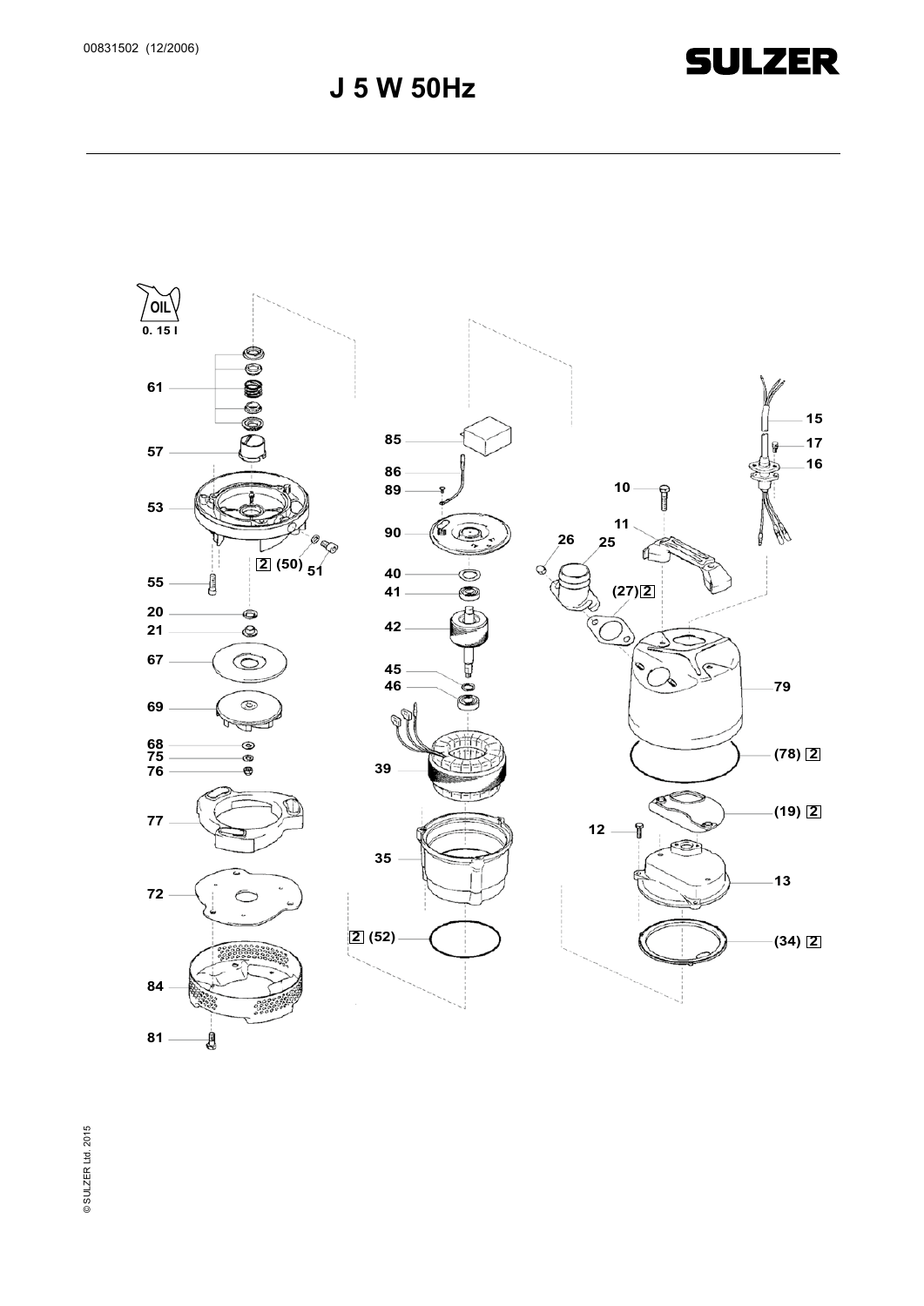### **J 5 W 50Hz**

**SULZER** 



© SULZER Ltd. 2015 © SULZER Ltd. 2015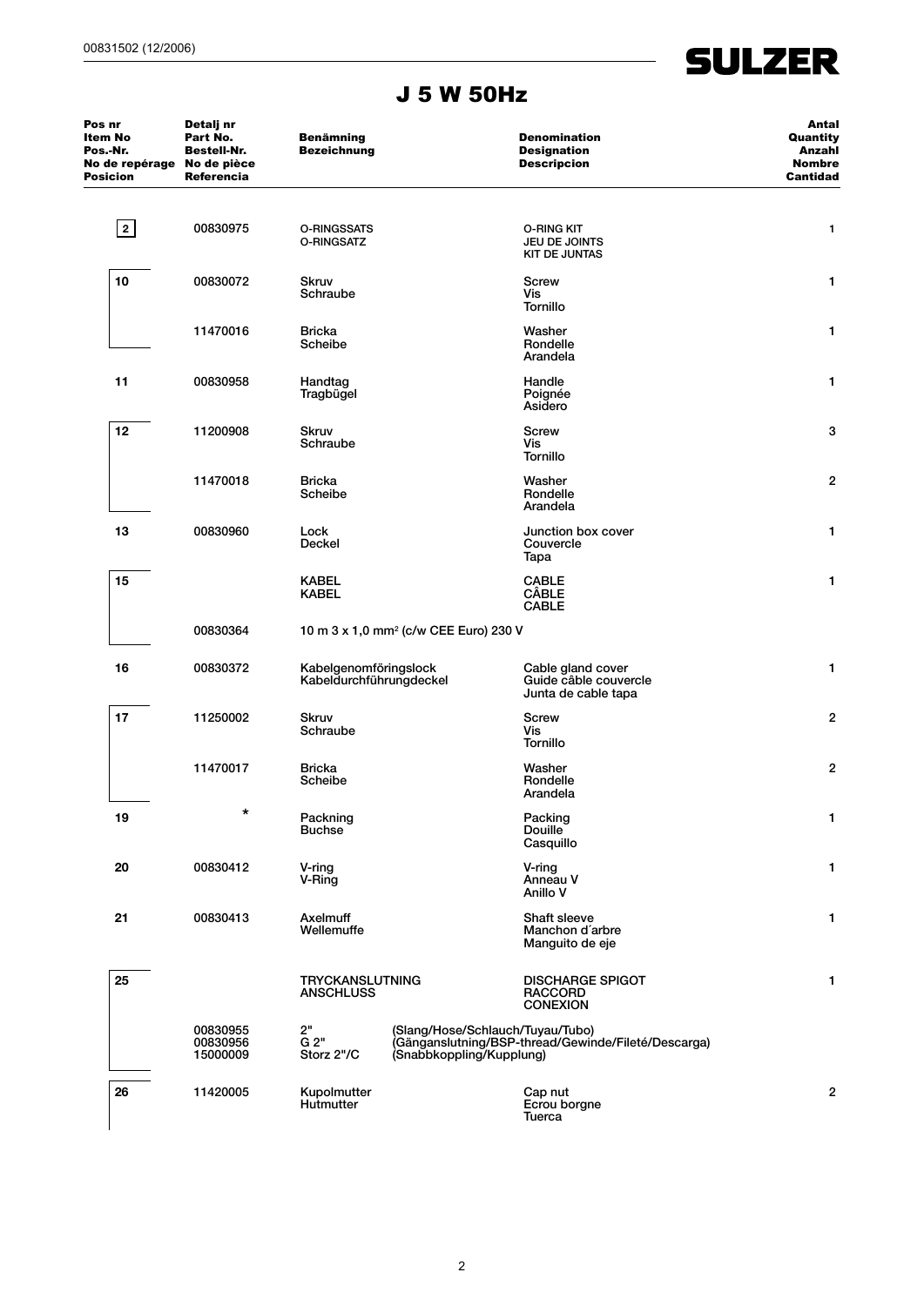# **SULZER**

#### J 5 W 50Hz

| Pos nr<br>Item No<br>Pos.-Nr.<br>No de repérage No de pièce<br><b>Posicion</b> | Detalj nr<br>Part No.<br>Bestell-Nr.<br>Referencia | <b>Benämning</b><br><b>Bezeichnung</b>            |                                                                                                                     | <b>Denomination</b><br><b>Designation</b><br><b>Descripcion</b>   | Antal<br>Quantity<br>Anzahl<br><b>Nombre</b><br>Cantidad |
|--------------------------------------------------------------------------------|----------------------------------------------------|---------------------------------------------------|---------------------------------------------------------------------------------------------------------------------|-------------------------------------------------------------------|----------------------------------------------------------|
| 2                                                                              | 00830975                                           | <b>O-RINGSSATS</b><br>O-RINGSATZ                  |                                                                                                                     | <b>O-RING KIT</b><br>JEU DE JOINTS<br><b>KIT DE JUNTAS</b>        | 1                                                        |
| 10                                                                             | 00830072                                           | <b>Skruv</b><br>Schraube                          |                                                                                                                     | <b>Screw</b><br>Vis<br><b>Tornillo</b>                            | 1                                                        |
|                                                                                | 11470016                                           | <b>Bricka</b><br>Scheibe                          |                                                                                                                     | Washer<br>Rondelle<br>Arandela                                    | 1                                                        |
| 11                                                                             | 00830958                                           | Handtag<br>Tragbügel                              |                                                                                                                     | Handle<br>Poignée<br>Asidero                                      | 1                                                        |
| 12                                                                             | 11200908                                           | <b>Skruv</b><br>Schraube                          |                                                                                                                     | Screw<br>Vis<br><b>Tornillo</b>                                   | 3                                                        |
|                                                                                | 11470018                                           | <b>Bricka</b><br>Scheibe                          |                                                                                                                     | Washer<br>Rondelle<br>Arandela                                    | $\overline{2}$                                           |
| 13                                                                             | 00830960                                           | Lock<br>Deckel                                    |                                                                                                                     | Junction box cover<br>Couvercle<br>Tapa                           | 1                                                        |
| 15                                                                             |                                                    | <b>KABEL</b><br><b>KABEL</b>                      |                                                                                                                     | <b>CABLE</b><br><b>CÂBLE</b><br><b>CABLE</b>                      | 1                                                        |
|                                                                                | 00830364                                           | 10 m 3 x 1,0 mm <sup>2</sup> (c/w CEE Euro) 230 V |                                                                                                                     |                                                                   |                                                          |
| 16                                                                             | 00830372                                           | Kabelgenomföringslock<br>Kabeldurchführungdeckel  |                                                                                                                     | Cable gland cover<br>Guide câble couvercle<br>Junta de cable tapa | 1                                                        |
| 17                                                                             | 11250002                                           | Skruv<br>Schraube                                 |                                                                                                                     | Screw<br>Vis<br><b>Tornillo</b>                                   | $\overline{2}$                                           |
|                                                                                | 11470017                                           | <b>Bricka</b><br>Scheibe                          |                                                                                                                     | Washer<br>Rondelle<br>Arandela                                    | $\overline{c}$                                           |
| 19                                                                             | $\star$                                            | Packning<br><b>Buchse</b>                         |                                                                                                                     | Packing<br>Douille<br>Casquillo                                   | 1                                                        |
| 20                                                                             | 00830412                                           | V-ring<br>V-Ring                                  |                                                                                                                     | V-ring<br>Anneau V<br>Anillo V                                    | 1                                                        |
| 21                                                                             | 00830413                                           | Axelmuff<br>Wellemuffe                            |                                                                                                                     | Shaft sleeve<br>Manchon d'arbre<br>Manguito de eje                | 1                                                        |
| 25                                                                             |                                                    | <b>TRYCKANSLUTNING</b><br><b>ANSCHLUSS</b>        |                                                                                                                     | <b>DISCHARGE SPIGOT</b><br><b>RACCORD</b><br><b>CONEXION</b>      | 1                                                        |
|                                                                                | 00830955<br>00830956<br>15000009                   | 2"<br>$\bar{G}$ 2"<br>Storz 2"/C                  | (Slang/Hose/Schlauch/Tuyau/Tubo)<br>(Gänganslutning/BSP-thread/Gewinde/Fileté/Descarga)<br>(Snabbkoppling/Kupplung) |                                                                   |                                                          |
| 26                                                                             | 11420005                                           | Kupolmutter<br>Hutmutter                          |                                                                                                                     | Cap nut<br>Ecrou borgne<br>Tuerca                                 | 2                                                        |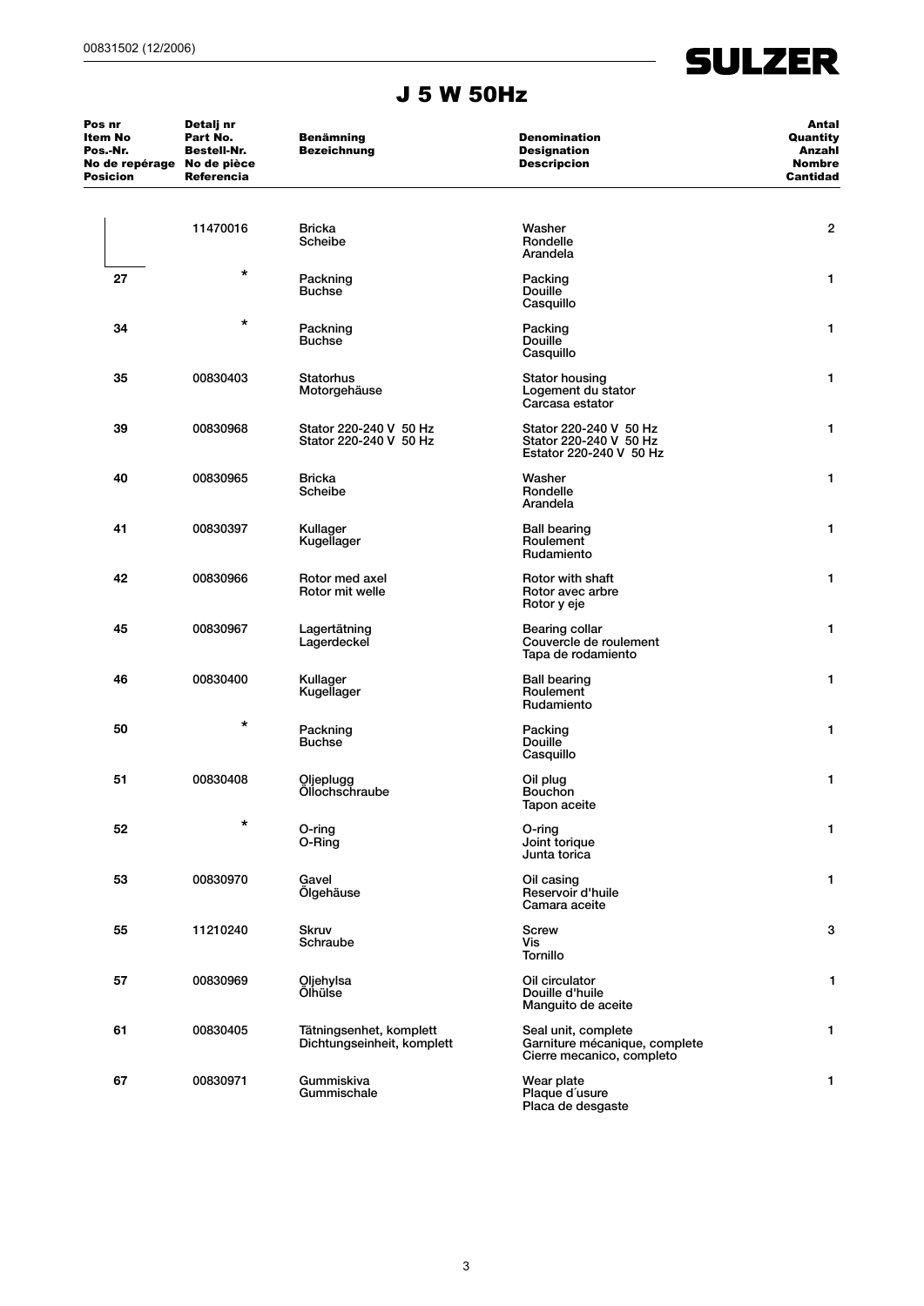#### J 5 W 50Hz

**SULZER** 

| Pos nr<br>Item No<br>Pos.-Nr.<br>No de repérage No de pièce<br><b>Posicion</b> | Detalj nr<br>Part No.<br><b>Bestell-Nr.</b><br>Referencia | <b>Benämning</b><br><b>Bezeichnung</b>                | <b>Denomination</b><br><b>Designation</b><br><b>Descripcion</b>                   | Antal<br>Quantity<br>Anzahl<br><b>Nombre</b><br>Cantidad |
|--------------------------------------------------------------------------------|-----------------------------------------------------------|-------------------------------------------------------|-----------------------------------------------------------------------------------|----------------------------------------------------------|
|                                                                                | 11470016                                                  | <b>Bricka</b><br>Scheibe                              | Washer<br>Rondelle<br>Arandela                                                    | $\overline{c}$                                           |
| 27                                                                             | *                                                         | Packning<br><b>Buchse</b>                             | Packing<br>Douille <sup>®</sup><br>Casquillo                                      | 1                                                        |
| 34                                                                             | *                                                         | Packning<br><b>Buchse</b>                             | Packing<br><b>Douille</b><br>Casquillo                                            | 1                                                        |
| 35                                                                             | 00830403                                                  | Statorhus<br>Motorgehäuse                             | <b>Stator housing</b><br>Logement du stator<br>Carcasa estator                    | 1                                                        |
| 39                                                                             | 00830968                                                  | Stator 220-240 V 50 Hz<br>Stator 220-240 V 50 Hz      | Stator 220-240 V 50 Hz<br>Stator 220-240 V 50 Hz<br>Estator 220-240 V 50 Hz       | 1                                                        |
| 40                                                                             | 00830965                                                  | <b>Bricka</b><br>Scheibe                              | Washer<br>Rondelle<br>Arandela                                                    | 1                                                        |
| 41                                                                             | 00830397                                                  | Kullager<br>Kugellager                                | <b>Ball bearing</b><br>Roulement<br>Rudamiento                                    | 1                                                        |
| 42                                                                             | 00830966                                                  | Rotor med axel<br>Rotor mit welle                     | Rotor with shaft<br>Rotor avec arbre<br>Rotor y eje                               | 1                                                        |
| 45                                                                             | 00830967                                                  | Lagertätning<br>Lagerdeckel                           | <b>Bearing collar</b><br>Couvercle de roulement<br>Tapa de rodamiento             | 1                                                        |
| 46                                                                             | 00830400                                                  | Kullager<br>Kugellager                                | <b>Ball bearing</b><br>Roulement<br>Rudamiento                                    | 1                                                        |
| 50                                                                             | *                                                         | Packning<br><b>Buchse</b>                             | Packing<br>Douille<br>Casquillo                                                   | 1                                                        |
| 51                                                                             | 00830408                                                  | Oljeplugg<br>Öllochschraube                           | Oil plug<br>Bouchon<br>Tapon aceite                                               | 1                                                        |
| 52                                                                             | *                                                         | O-ring<br>O-Ring                                      | O-ring<br>Joint torique<br>Junta torica                                           | 1                                                        |
| 53                                                                             | 00830970                                                  | Gavel<br>Ölgehäuse                                    | Oil casing<br>Reservoir d'huile<br>Camara aceite                                  | 1                                                        |
| 55                                                                             | 11210240                                                  | <b>Skruv</b><br>Schraube                              | <b>Screw</b><br>Vis<br><b>Tornillo</b>                                            | 3                                                        |
| 57                                                                             | 00830969<br>Oljehylsa<br>Ölhülse                          |                                                       | Oil circulator<br>Douille d'huile<br>Manguito de aceite                           | 1                                                        |
| 61                                                                             | 00830405                                                  | Tätningsenhet, komplett<br>Dichtungseinheit, komplett | Seal unit, complete<br>Garniture mécanique, complete<br>Cierre mecanico, completo | 1                                                        |
| 67                                                                             | 00830971                                                  | Gummiskiva<br>Gummischale                             | Wear plate<br>Plaque d'usure<br>Placa de desgaste                                 | 1                                                        |